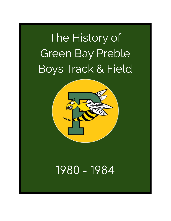# The History of Green Bay Preble Boys Track & Field



# 1980 - 1984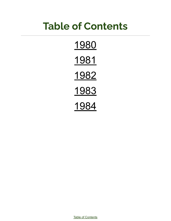# **Table of Contents**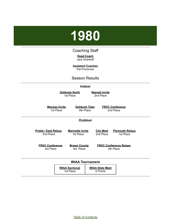<span id="page-2-0"></span>

#### Coaching Staff

**Head Coach** Jack Drankoff

**Assistant Coaches** Pat Prochnow

#### Season Results

#### **Indoor**

**Oshkosh North** 1st Place

**Neenah Invite** 2nd Place

**Wausau Invite** 1st Place

**Oshkosh Titan** 6th Place

**FRVC Conference** 2nd Place

#### **Outdoor**

| <b>Preble / East Relays</b> | <b>Marinette Invite</b>            | <b>City Meet</b>                   | <b>Plymouth Relays</b>        |
|-----------------------------|------------------------------------|------------------------------------|-------------------------------|
| 2nd Place                   | 1st Place                          | 2nd Place                          | 1st Place                     |
| <b>FRVC Conference</b>      | <b>Brown County</b>                |                                    | <b>FRVC Conference Relays</b> |
| 3rd Place                   | 3rd Place                          |                                    | 4th Place                     |
|                             |                                    | <b>WIAA Tournament</b>             |                               |
|                             | <b>WIAA Sectional</b><br>1st Place | <b>WIAA State Meet</b><br>0 Points |                               |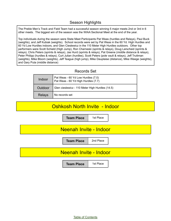#### Season Highlights

The Preble Men's Track and Field Team had a successful season winning 5 major meets 2nd or 3rd in 6 other meets. The biggest win of the season was the WIAA Sectional Meet at the end of the year.

Top individuals during the season were State Meet Participants Pat Weas (hurdles and Relays), Paul Buck (weights), and Jeff Kubiak (weights). School records were set by Pat Weas in the 60 Yd. High Hurdles and 60 Yd Low Hurdles indoors, and Glen Cieslewicz in the 110 Meter High Hurdles outdoors. Other top performers were Scott Schield (High Jump), Ron Charneski (sprints & relays), Doug Larscheid (sprints & relays), Chris Peters (sprints & relays), Jas Hurd (sprints & relays), Pat Greene (middle distance & relays), Peter Philipp (hurdles & relays), Curt Julian (hurdles), Scott Peters (pole vault & relays), Jeff Truttman (weights), Mike Bloom (weights), Jeff Teague (high jump), Mike Dauplaise (distance), Mike Weege (weights), and Gary Puta (middle distance)

#### Records Set

| <b>Indoor</b> | Pat Weas - 60 Yd Low Hurdles (7.0)<br>Pat Weas - 60 Yd High Hurdles (7.7) |
|---------------|---------------------------------------------------------------------------|
| Outdoor       | Glen cieslewicz - 110 Meter High Hurdles (14.5)                           |
| Relays        | No records set                                                            |

#### Oshkosh North Invite - Indoor

**Team Place** | 1st Place

## Neenah Invite - Indoor

**Team Place** | 2nd Place

#### Neenah Invite - Indoor

**Team Place** | 1st Place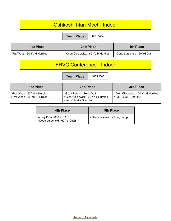#### Oshkosh Titan Meet - Indoor

**Team Place** 6th Place

| 1st Place                  | 2nd Place                          | <b>4th Place</b>             |
|----------------------------|------------------------------------|------------------------------|
| Pat Weas - 60 Yd H Hurdles | >Glen Cieslewicz - 60 Yd H Hurdles | >Doug Larscheid - 60 Yd Dash |

#### FRVC Conference - Indoor

**Team Place** 2nd Place

| 1st Place                                                      | 2nd Place                                                                                  | 3rd Place                                                   |
|----------------------------------------------------------------|--------------------------------------------------------------------------------------------|-------------------------------------------------------------|
| l >Pat Weas - 60 Yd H Hurdles<br>l >Pat Weas - 60 Yd L Hurdles | Scott Peters - Pole Vault<br>>Glen Cieslewicz - 60 Yd L Hurdles<br>>Jeff Kubiak - Shot Put | >Glen Cieslewicz - 60 Yd H Hurdles<br>>Paul Buck - Shot Put |

| 4th Place                                               | <b>5th Place</b>             |
|---------------------------------------------------------|------------------------------|
| >Gary Puta - 880 Yd Run<br>>Doug Larscheid - 60 Yd Dash | SGlen Cieslewicz - Long Jump |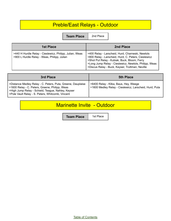# Preble/East Relays - Outdoor

**Team Place** 2nd Place

| 1st Place                                                                                              | 2nd Place                                                                                                                                                                                                                                                           |
|--------------------------------------------------------------------------------------------------------|---------------------------------------------------------------------------------------------------------------------------------------------------------------------------------------------------------------------------------------------------------------------|
| >440 H Hurdle Relay - Cieslewicz, Philipp, Julian, Weas<br>>900 L Hurdle Relay - Weas, Philipp, Julian | >400 Relay - Larscheid, Hurd, Charneski, Newtols<br>>800 Relay - Larscheid, Hurd, C. Peters, Cieslewicz<br>>Shot Put Relay - Kubiak, Buck, Bloom, Ferry<br>>Long Jump Relay - Cieslewicz, Newtols, Philipp, Weas<br>>Discus Relay - Buck, Keyser, Truttman, Neville |

| 3rd Place                                                                                                                                                                                                                 | <b>5th Place</b>                                                                                |
|---------------------------------------------------------------------------------------------------------------------------------------------------------------------------------------------------------------------------|-------------------------------------------------------------------------------------------------|
| >Distance Medley Relay - C. Peters, Puta, Greene, Dauplaise<br>  >1600 Relay - C. Peters, Greene, Philipp, Weas<br>SHigh Jump Relay - Schield, Teague, Nahley, Keyser<br>>Pole Vault Relay - S. Peters, Whitcomb, Vincent | >6400 Relay - Klika, Baus, Hey, Weege<br>>1600 Medley Relay - Cieslewicz, Larscheid, Hurd, Puta |

## Marinette Invite - Outdoor

**Team Place** 1st Place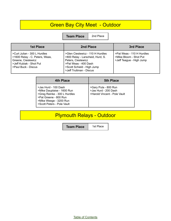## **Green Bay City Meet - Outdoor**

**Team Place** 2nd Place

| <b>1st Place</b>                                                                                                                             | 2nd Place                                                                                                                                                                   | 3rd Place                                                                       |
|----------------------------------------------------------------------------------------------------------------------------------------------|-----------------------------------------------------------------------------------------------------------------------------------------------------------------------------|---------------------------------------------------------------------------------|
| I >Curt Julian - 300 L Hurdles<br>  >1600 Relay - C. Peters, Weas,<br>Greene, Cieslewicz<br>>Jeff Kubiak - Shot Put<br>l >Paul Buck - Discus | >Glen Cieslewicz - 110 H Hurdles<br>>800 Relay - Larscheid, Hurd, S.<br>Peters, Cieslewicz<br>>Pat Weas - 400 Dash<br>>Scott Schield - High Jump<br>>Jeff Truttman - Discus | >Pat Weas - 110 H Hurdles<br>>Mike Bloom - Shot Put<br>>Jeff Teague - High Jump |

| 4th Place                                                                                                                                                           | <b>5th Place</b>                                                             |
|---------------------------------------------------------------------------------------------------------------------------------------------------------------------|------------------------------------------------------------------------------|
| >Jas Hurd - 100 Dash<br>>Mike Dauplaise - 1600 Run<br>>Greg Reinke - 300 L Hurdles<br>>Pat Greene - 800 Run<br>>Mike Weege - 3200 Run<br>>Scott Peters - Pole Vault | >Gary Puta - 800 Run<br>>Jas Hurd - 200 Dash<br>>Harold Vincent - Pole Vault |

# Plymouth Relays - Outdoor

**Team Place** | 1st Place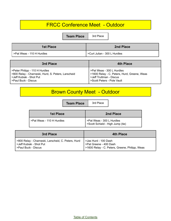## FRCC Conference Meet - Outdoor

**Team Place** 3rd Place

| <b>1st Place</b>          | 2nd Place                      |
|---------------------------|--------------------------------|
| >Pat Weas - 110 H Hurdles | l >Curt Julian - 300 L Hurdles |

| 3rd Place                                          | 4th Place                                   |
|----------------------------------------------------|---------------------------------------------|
| >Peter Philipp - 110 H Hurdles                     | >Pat Weas - 300 L Hurdles                   |
| >800 Relay - Charneski, Hurd, S. Peters, Larscheid | >1600 Relay - C. Peters, Hurd, Greene, Weas |
| >Jeff Kubiak - Shot Put                            | >Jeff Truttman - Discus                     |
| >Paul Buck - Discus                                | >Scott Peters - Pole Vault                  |

# Brown County Meet - Outdoor

**Team Place** | 3rd Place

| 1st Place                   | 2nd Place                                                    |
|-----------------------------|--------------------------------------------------------------|
| l >Pat Weas - 110 H Hurdles | >Pat Weas - 300 L Hurdles<br>Scott Schield - High Jump (tie) |

| 3rd Place                                          | <b>4th Place</b>                               |
|----------------------------------------------------|------------------------------------------------|
| >800 Relay - Charneski, Larscheid, C. Peters, Hurd | > Jas Hurd - 100 Dash                          |
| >Jeff Kubiak - Shot Put                            | >Pat Greene - 400 Dash                         |
| >Paul Buck - Discus                                | >1600 Relay - C. Peters, Greene, Philipp, Weas |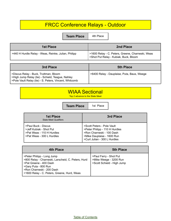# FRCC Conference Relays - Outdoor

**Team Place** 4th Place

| 1st Place                                           | 2nd Place                                                                                 |
|-----------------------------------------------------|-------------------------------------------------------------------------------------------|
| >440 H Hurdle Relay - Weas, Reinke, Julian, Philipp | >1600 Relay - C. Peters, Greene, Charneski, Weas<br>>Shot Put Relay - Kubiak, Buck, Bloom |

| 3rd Place                                                                                                                                           | <b>5th Place</b>                           |
|-----------------------------------------------------------------------------------------------------------------------------------------------------|--------------------------------------------|
| >Discus Relay - Buck, Truttman, Bloom<br>SHigh Jump Relay (tie) - Schield, Teague, Nahley<br>>Pole Vault Relay (tie) - S. Peters, Vincent, Whitcomb | >6400 Relay - Dauplaise, Puta, Baus, Weege |

# WIAA Sectional

Top 2 advance to the State Meet

**Team Place** | 1st Place

| <b>1st Place</b><br><b>State Meet Qualifiers</b>                                                         | 3rd Place                                                                                                                                               |
|----------------------------------------------------------------------------------------------------------|---------------------------------------------------------------------------------------------------------------------------------------------------------|
| >Paul Buck - Discus<br>>Jeff Kubiak - Shot Put<br>>Pat Weas - 110 H Hurdles<br>>Pat Weas - 300 L Hurdles | >Scott Peters - Pole Vault<br>>Peter Philipp - 110 H Hurdles<br>>Ron Charneski - 100 Dash<br>>Mike Dauplaise - 1600 Run<br>>Curt Julian - 300 L Hurdles |

| 4th Place                                                                                                                                                                                                      | <b>5th Place</b>                                                               |
|----------------------------------------------------------------------------------------------------------------------------------------------------------------------------------------------------------------|--------------------------------------------------------------------------------|
| >Peter Philipp - Long Jump<br>>800 Relay - Charneski, Larscheid, C. Peters, Hurd<br>>Pat Greene - 400 Dash<br>>Gary Puta - 800 Run<br>>Ron Charneski - 200 Dash<br>>1600 Relay - C. Peters, Greene, Hurd, Weas | >Paul Ferry - Shot Put<br>>Mike Weege - 3200 Run<br>>Scott Schield - High Jump |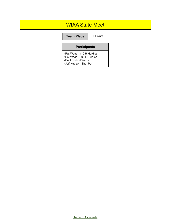#### WIAA State Meet

**Team Place** | 0 Points

#### **Participants**

>Pat Weas - 110 H Hurdles >Pat Weas - 300 L Hurdles >Paul Buck - Discus >Jeff Kubiak - Shot Put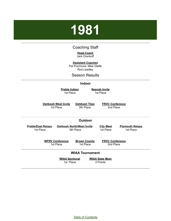# <span id="page-10-0"></span>**1981**

#### Coaching Staff

**Head Coach** Jack Drankoff

**Assistant Coaches**

Pat Prochnow, Mike Gleffe Rod Leadley

Season Results

#### **Indoor**

**Preble Indoor** 1st Place

**Neenah Invite** 1st Place

**Oshkosh West Invite** 1st Place

**Oshkosh Titan** 5th Place

**FRVC Conference** 2nd Place

#### **Outdoor**

**Oshkosh North/West Invite** 5th Place

**Preble/East Relays** 1st Place

> **WFRV Conference** 1st Place

**Brown County** 1st Place

**FRVC Conference** 2nd Place

**Plymouth Relays** 1st Place

**City Meet** 1st Place

#### **WIAA Tournament**

**WIAA Sectional** 1st Place

**WIAA State Meet** 0 Points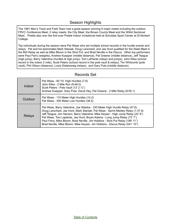#### Season Highlights

The 1981 Men's Track and Field Team had a great season winning 9 major meets including the outdoor FRVC Conference Meet, 2 relay meets, the City Meet, the Brown County Meet and the WIAA Sectional Meet. Preble also won the first ever Preble Indoor Invitational held at Schuldes Sport Center at St Norbert College.

Top individuals during the season were Pat Weas who set multiple school records in the hurdle events and relays. Pat and his teammates Mark Staniak, Doug Larscheid, and Jas Hurd qualified for the State Meet in the 800 Relay as well as Mike Bloom in the Shot Put, and Brad Neville in the Discus. Other top performers were Paul Ferry (weights), Andrew Kuepper (middle distance), Pat Greene (middle distance), Jeff Teague (high jump), Barry Valentine (hurdles & high jump), Tom LaPlante (relays and jumps), John Klika (school record in the indoor 2 mile), Scott Peters (school record in the pole vault & relays), Tim Whitcomb (pole vault), Phil Gilson (distance), Louis Distelzweig (relays), and Gary Puta (middle distance).

| Indoor  | Pat Weas - 60 Yd. High Hurdles (7.6)<br>John Klika - 2 Mile Run (9:46.0)<br>Scott Peters - Pole Vault (13' 2 1/2")<br>Andrew Kuepper, Gary Puta, David Hey, Pat Greene - 2 Mile Relay (8:50.1)                                                                                                                                                                                                                                                                                                |
|---------|-----------------------------------------------------------------------------------------------------------------------------------------------------------------------------------------------------------------------------------------------------------------------------------------------------------------------------------------------------------------------------------------------------------------------------------------------------------------------------------------------|
| Outdoor | Pat Weas - 110 Meter High Hurdles (14.2)<br>Pat Weas - 300 Meter Low Hurdles (38.5)                                                                                                                                                                                                                                                                                                                                                                                                           |
| Relays  | Pat Weas, Barry Valentine, Joe Watzka - 330 Meter High Hurdle Relay (47.6)<br>Doug Larscheid, Jas Hurd, Mark Staniak, Pat Weas - Sprint Medley Relay (1:37.9)<br>Jeff Teague, Jim Hanson, Barry Valentine, Mike Keyser - High Jump Relay (22'8")<br>Pat Weas, Tom Laplante, Jas Hurd, Bryan Adams - Long Jump Relay (73' 7")<br>Paul Ferry, Mike Bloom, Brad Neville, Jim Hobbins - Shot Put Relay (189' 11")<br>Brad Neville, Mike Bloom, Mike Keyser, Jim Hobbins - Discus Relay (541' 10") |

#### Records Set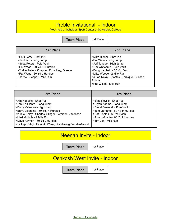#### Preble Invitational - Indoor

Meet held at Schuldes Sport Center at St Norbert College

**Team Place** | 1st Place

| <b>1st Place</b>                                                                                                                                                                                                        | 2nd Place                                                                                                                                                                                                                                               |
|-------------------------------------------------------------------------------------------------------------------------------------------------------------------------------------------------------------------------|---------------------------------------------------------------------------------------------------------------------------------------------------------------------------------------------------------------------------------------------------------|
| >Paul Ferry - Shot Put<br>>Jas Hurd - Long Jump<br>>Scott Peters - Pole Vault<br>>Pat Weas - 60 Yd. H Hurdles<br>>2 Mile Relay - Kuepper, Puta, Hey, Greene<br>>Pat Weas - 60 Yd L Hurdles<br>Andrew Kuepper - Mile Run | >Mike Bloom - Shot Put<br>>Pat Weas - Long Jump<br>>Jeff Teague - High Jump<br>>Tim Whitcomb - Pole Vault<br>>Doug Larcheid - 60 Yd. Dash<br>>Mike Weege - 2 Mile Run<br>>4 Lap Relay - Piontek, Derbique, Gussert,<br>Adams<br>>Phil Gilson - Mile Run |

| 3rd Place                                                                                                                                                                                                                                                                                                       | <b>4th Place</b>                                                                                                                                                                                              |
|-----------------------------------------------------------------------------------------------------------------------------------------------------------------------------------------------------------------------------------------------------------------------------------------------------------------|---------------------------------------------------------------------------------------------------------------------------------------------------------------------------------------------------------------|
| >Jim Hobbins - Shot Put<br>>Tom La Plante - Long Jump<br>>Barry Valentine - High Jump<br>>Barry Valentine - 60 Yd. H Hurdles<br>>2 Mile Relay - Charles, Slinger, Peterson, Jacobson<br>>Mark Gribble - 2 Mile Run<br>>Dave Reynen - 60 Yd L Hurdles<br>>12 Lap Relay - Piontek, Weas, Distelzweig, VandenAvond | >Brad Neville - Shot Put<br>>Bryan Adams - Long Jump<br>>David Gaworek - Pole Vault<br>>Tom LaPlante - 60 Yd H Hurdles<br>>Pat Piontek - 60 Yd Dash<br>>Tom LaPlante - 60 Yd L Hurdles<br>>Tim Lax - Mile Run |

#### Neenah Invite - Indoor

**Team Place** 1st Place

## Oshkosh West Invite - Indoor

**Team Place** | 1st Place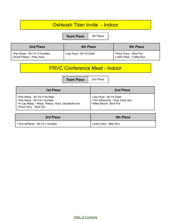#### Oshkosh Titan Invite - Indoor

**Team Place** 5th Place

| 2nd Place                                                       | 4th Place              | <b>5th Place</b>                                   |
|-----------------------------------------------------------------|------------------------|----------------------------------------------------|
| I >Pat Weas - 60 Yd. H Hurdles<br>l >Scott Peters - Pole Vault_ | >Jas Hurd - 60 Yd Dash | >Paul Ferry - Shot Put<br>>John Klika - 2 Mile Run |

## FRVC Conference Meet - Indoor

**Team Place** 2nd Place

| 1st Place                                                                                                                              | 2nd Place                                                                          |
|----------------------------------------------------------------------------------------------------------------------------------------|------------------------------------------------------------------------------------|
| >Pat Weas - 60 Yd H Hurdles<br>>Pat Weas - 60 Yd L Hurdles<br>>4 Lap Relay - Weas, Peters, Hurd, VandenAvond<br>>Paul Ferry - Shot Put | >Jas Hurd - 60 Yd Dash<br>>Tim Whitcomb - Pole Vault (tie)<br>>Mike Bloom Shot Put |

| <b>3rd Place</b>                  | 4th Place              |
|-----------------------------------|------------------------|
| I >Tom laPlante - 60 Yd L Hurdles | >John Klick - Mile Run |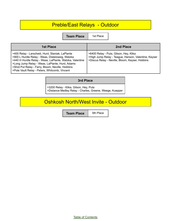## Preble/East Relays - Outdoor

**Team Place** | 1st Place

| <b>1st Place</b>                                                                                                                                                                                                                                                                                                     | 2nd Place                                                                                                                                         |
|----------------------------------------------------------------------------------------------------------------------------------------------------------------------------------------------------------------------------------------------------------------------------------------------------------------------|---------------------------------------------------------------------------------------------------------------------------------------------------|
| >400 Relay - Larscheid, Hurd, Staniak, LaPlante<br>>900 L Hurdle Relay - Weas, Distelzweig, Watzka<br>>440 H Hurdle Relay - Weas, LaPlante, Watzka, Valentine<br>>Long Jump Relay - Weas, LaPlante, Hurd, Adams<br>>Shot Put Relay - Ferry, Bloom, Neville, Hobbins<br>>Pole Vault Relay - Peters, Whitcomb, Vincent | >6400 Relay - Puta, Gilson, Hey, Klika<br>>High Jump Relay - Teague, Hanson, Valentine, Keyser<br>>Discus Relay - Neville, Bloom, Keyser, Hobbins |

#### **3rd Place**

>3200 Relay - Klika, Gilson, Hey, Puta >Distance Medley Relay - Charles, Greene, Weege, Kuepper

#### Oshkosh North/West Invite - Outdoor

**Team Place** 5th Place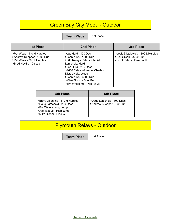## **Green Bay City Meet - Outdoor**

**Team Place** | 1st Place

| <b>1st Place</b>                                                                                               | 2nd Place                                                                                                                                                                                                                                                           | 3rd Place                                                                                   |
|----------------------------------------------------------------------------------------------------------------|---------------------------------------------------------------------------------------------------------------------------------------------------------------------------------------------------------------------------------------------------------------------|---------------------------------------------------------------------------------------------|
| >Pat Weas - 110 H Hurdles<br>>Andrew Kuepper - 1600 Run<br>>Pat Weas - 300 L Hurdles<br>>Brad Neville - Discus | >Jas Hurd - 100 Dash<br>>John Klika - 1600 Run<br>>800 Relay - Peters, Staniak,<br>Larscheid, Hurd<br>>Jas Hurd - 200 Dash<br>>1600 Relay - Greene, Charles,<br>Distelzweig, Weas<br>>John Klika - 3200 Run<br>>Mike Bloom - Shot Put<br>>Tim Whitcomb - Pole Vault | >Louis Distelzweig - 300 L Hurdles<br>>Phil Gilson - 3200 Run<br>>Scott Peters - Pole Vault |

| 4th Place                                                                                                                                   | <b>5th Place</b>                                        |
|---------------------------------------------------------------------------------------------------------------------------------------------|---------------------------------------------------------|
| >Barry Valentine - 110 H Hurdles<br>>Doug Larscheid - 200 Dash<br>>Pat Weas - Long Jump<br>>Jeff Teague - High Jump<br>>Mike Bloom - Discus | >Doug Larscheid - 100 Dash<br>>Andrew Kuepper - 800 Run |

# Plymouth Relays - Outdoor

**Team Place** | 1st Place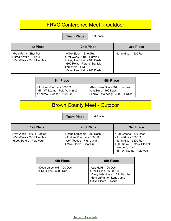#### FRVC Conference Meet - Outdoor

**Team Place** | 1st Place

| <b>1st Place</b>                                                              | 2nd Place                                                                                                                                                           | 3rd Place              |
|-------------------------------------------------------------------------------|---------------------------------------------------------------------------------------------------------------------------------------------------------------------|------------------------|
| >Paul Ferry - Shot Put<br>>Brad Neville - Discus<br>>Pat Weas - 300 L Hurdles | >Mike Bloom - Shot Put<br>>Pat Weas - 110 H Hurdles<br>>Doug Larscheid - 100 Dash<br>>800 Relay - Peters, Staniak,<br>Larscheid, Hurd<br>>Doug Larscheid - 200 Dash | >John Klika - 1600 Run |

| <b>4th Place</b>                 | <b>5th Place</b>                   |
|----------------------------------|------------------------------------|
| >Andrew Kuepper - 1600 Run       | >Barry Valentine - 110 H Hurdles   |
| >Tim Whitcomb - Pole Vault (tie) | I > Jas Hurd - 100 Dash            |
| >Andrew Kuepper - 800 Run        | >Louis Distelzweig - 300 L Hurdles |

# Brown County Meet - Outdoor

**Team Place** | 1st Place

| <b>1st Place</b>                                                                     | 2nd Place                                                                                                      | 3rd Place                                                                                                                                                    |
|--------------------------------------------------------------------------------------|----------------------------------------------------------------------------------------------------------------|--------------------------------------------------------------------------------------------------------------------------------------------------------------|
| >Pat Weas - 110 H Hurdles<br>>Pat Weas - 300 L Hurdles<br>>Scott Peters - Pole Vault | >Doug Larscheid - 200 Dash<br>>Andrew Kuepper - 1600 Run<br>>Jeff Teague - High Jump<br>>Mike Bloom - Shot Put | >Pat Greene - 400 Dash<br>>John Klika - 1600 Run<br>>John Klika - 3200 Run<br>>800 Relay - Peters, Staniak,<br>Larscheid, Hurd<br>>Tim Whitcomb - Pole Vault |

| 4th Place                                             | <b>5th Place</b>                                                                                                                         |
|-------------------------------------------------------|------------------------------------------------------------------------------------------------------------------------------------------|
| >Doug Larscheid - 100 Dash<br>>Phil Gilson - 3200 Run | >Jas Hurd - 100 Dash<br>>Phil Gilson - 3200 Run<br>>Barry Valentine - 110 H Hurdles<br>>Tom LaPlante - Long Jump<br>>Mike Bloom - Discus |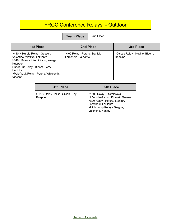# FRCC Conference Relays - Outdoor

**Team Place** 2nd Place

| <b>1st Place</b>                                                                                                                                                                                                         | 2nd Place                                            | 3rd Place                                         |
|--------------------------------------------------------------------------------------------------------------------------------------------------------------------------------------------------------------------------|------------------------------------------------------|---------------------------------------------------|
| >440 H Hurdle Relay - Gussert,<br>Valentine, Watzke, LaPlante<br>>6400 Relay - Klika, Gilson, Weege,<br>Kuepper<br>>Shot Put Relay - Bloom, Ferry,<br><b>Hobbins</b><br>>Pole Vault Relay - Peters, Whitcomb,<br>Vincent | >400 Relay - Peters, Staniak,<br>Larscheid, LaPlante | >Discus Relay - Neville, Bloom,<br><b>Hobbins</b> |

| 4th Place                                    | <b>5th Place</b>                                                                                                                                                         |
|----------------------------------------------|--------------------------------------------------------------------------------------------------------------------------------------------------------------------------|
| >3200 Relay - Klika, Gilson, Hey,<br>Kuepper | >1600 Relay - Distelzweig,<br>J. VandenAvond, Piontek, Greene<br>>800 Relay - Peters, Staniak,<br>Larscheid, LaPlante<br>>High Jump Relay - Teague,<br>Valentine, Nahley |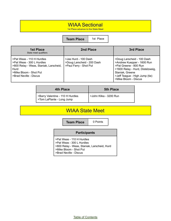#### WIAA Sectional

1st Place advance to the State Meet

**Team Place** | 1st Place

| <b>1st Place</b><br>State meet qualifiers                                                                                                                    | 2nd Place                                                                    | 3rd Place                                                                                                                                                                                          |
|--------------------------------------------------------------------------------------------------------------------------------------------------------------|------------------------------------------------------------------------------|----------------------------------------------------------------------------------------------------------------------------------------------------------------------------------------------------|
| >Pat Weas - 110 H Hurdles<br>>Pat Weas - 300 L Hurdles<br>>800 Relay - Weas, Staniak, Larscheid,<br>Hurd<br>>Mike Bloom - Shot Put<br>>Brad Neville - Discus | >Jas Hurd - 100 Dash<br>>Doug Larscheid - 200 Dash<br>>Paul Ferry - Shot Put | >Doug Larscheid - 100 Dash<br>>Andrew Kuepper - 1600 Run<br>>Pat Greene - 800 Run<br>>1600 Relay - Hurd, Distelzweig,<br>Staniak, Greene<br>>Jeff Teague - High Jump (tie)<br>>Mike Bloom - Discus |

| 4th Place                                                     | <b>5th Place</b>       |  |
|---------------------------------------------------------------|------------------------|--|
| >Barry Valentine - 110 H Hurdles<br>>Tom LaPlante - Long Jump | >John Klika - 3200 Run |  |

#### WIAA State Meet

**Team Place** | 0 Points

#### **Participants**

- >Pat Weas 110 H Hurdles >Pat Weas - 300 L Hurdles >800 Relay - Weas, Staniak, Larscheid, Hurd >Mike Bloom - Shot Put
- >Brad Neville Discus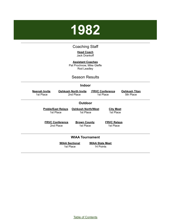# <span id="page-19-0"></span>**1982**

#### Coaching Staff

**Head Coach** Jack Drankoff

**Assistant Coaches** Pat Prochnow, Mike Gleffe Rod Leadley

#### Season Results

#### **Indoor**

| <b>Neenah Invite</b><br>1st Place |                                        | <b>Oshkosh North Invite</b><br>2nd Place | <b>FRVC Conference</b><br>1st Place |                                 | <b>Oshkosh Titan</b><br>5th Place |
|-----------------------------------|----------------------------------------|------------------------------------------|-------------------------------------|---------------------------------|-----------------------------------|
|                                   |                                        | <b>Outdoor</b>                           |                                     |                                 |                                   |
|                                   | <b>Preble/East Relays</b><br>1st Place | <b>Oshkosh North/West</b><br>1st Place   |                                     | <b>City Meet</b><br>1st Place   |                                   |
|                                   | <b>FRVC Conference</b><br>2nd Place    | <b>Brown County</b><br>1st Place         |                                     | <b>FRVC Relays</b><br>1st Place |                                   |
|                                   |                                        | <b>WIAA Tournament</b>                   |                                     |                                 |                                   |
|                                   |                                        | <b>WIAA Sectional</b><br>1st Place       | <b>WIAA State Meet</b><br>14 Points |                                 |                                   |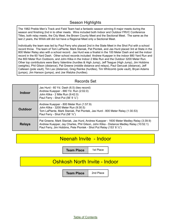#### Season Highlights

The 1982 Preble Men's Track and Field Team had a fantastic season winning 8 major meets during the season and finishing 2nd in to other meets. Wins included both Indoor and Outdoor FRVC Conference Titles, both relay meets, the City Meet, the Brown County Meet and the Sectional Meet. The same as the last 2 years, the WIAA still did not have a Regional Meet only a Sectional Meet.

Individually the team was led by Paul Ferry who placed 2nd in the State Meet in the Shot Put with a school record throw. The team of Tom LaPlante, Mark Staniak, Pat Piontek, and Jas Hurd placed 3rd at State in the 800 Meter Relay also with a school record. Jas Hurd was a finalist in the 100 Meter Dash and set the indoor record in the 60 Yard Dash. Other school records included Andrew Kuepper in the indoor 880 Yard Run and the 800 Meter Run Outdoors, and John Klika in the Indoor 2 Mile Run and the Outdoor 3200 Meter Run. Other top contributors were Barry Valentine (hurdles & High Jump), Jeff Teague (High Jump), Jim Hobbins (weights), Phil Gilson (distance), Pat Greene (middle distance and relays), Paul Gerczak (distance), Jeff Callesen (pole vault), Tim Lax (distance), Greg Reinke (hurdles), Tim Whitcomb (pole vault), Bryan Adams (jumps), Jim Hanson (jumps), and Joe Watzka (hurdles).

#### Records Set

| Indoor        | Jas Hurd - 60 Yd. Dash (6.5) (ties record)<br>Andrew Kuepper - 880 Yd. Run (2:02.0)<br>John Klika - 2 Mile Run (9:42.0)<br>Paul Ferry - Shot Put (56' 9 $\frac{1}{4}$ ")                                                                                |
|---------------|---------------------------------------------------------------------------------------------------------------------------------------------------------------------------------------------------------------------------------------------------------|
| Outdoor       | Andrew Kuepper - 800 Meter Run (1:57.9)<br>John Klika - 3200 Meter Run (9:30.5)<br>Tom LaPlante, Mark Staniak, Pat Piontek, Jas Hurd - 800 Meter Relay (1:30.53)<br>Paul Ferry - Shot Put (58' 3/4")                                                    |
| <b>Relays</b> | Pat Greene, Mark Staniak, Jas Hurd, Andrew Kuepper - 1600 Meter Medley Relay (3:39.9)<br>Andrew Kuepper, Jay Charles, Phil Gilson, John Klika - Distance Medley Relay (10:52.1)<br>Paul Ferry, Jim Hobbins, Pete Piontek - Shot Put Relay (153' 8 1/2") |

#### Neenah Invite - Indoor

**Team Place** | 1st Place

## Oshkosh North Invite - Indoor

**Team Place** | 2nd Place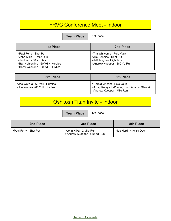#### FRVC Conference Meet - Indoor

**Team Place** | 1st Place

| <b>1st Place</b>                                                                                                                                         | 2nd Place                                                                                                         |
|----------------------------------------------------------------------------------------------------------------------------------------------------------|-------------------------------------------------------------------------------------------------------------------|
| >Paul Ferry - Shot Put<br>>John Klika - 2 Mile Run<br>>Jas Hurd - 60 Yd Dash<br>>Barry Valentine - 60 Yd H Hurdles<br>>Barry Valentine - 60 Yd L Hurdles | >Tim Whitcomb - Pole Vault<br>>Jim Hobbins - Shot Put<br>>Jeff Teague - High Jump<br>>Andrew Kuepper - 880 Yd Run |

| 3rd Place                                                      | <b>5th Place</b>                                                                                                |
|----------------------------------------------------------------|-----------------------------------------------------------------------------------------------------------------|
| >Joe Watzka - 60 Yd H Hurdles<br>>Joe Watzka - 60 Yd L Hurdles | >Harold Vincent - Pole Vault<br>  >4 Lap Relay - LaPlante, Hurd, Adams, Staniak<br>I >Andrew Kuepper - Mile Run |

## Oshkosh Titan Invite - Indoor

**Team Place** 5th Place

| 2nd Place              | 3rd Place                                                | <b>5th Place</b>        |
|------------------------|----------------------------------------------------------|-------------------------|
| >Paul Ferry - Shot Put | >John Klika - 2 Mile Run<br>>Andrew Kuepper - 880 Yd Run | >Jas Hurd - 440 Yd Dash |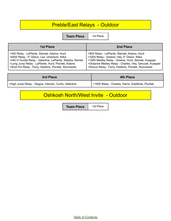# Preble/East Relays - Outdoor

**Team Place** | 1st Place

| 1st Place                                                 | 2nd Place                                               |
|-----------------------------------------------------------|---------------------------------------------------------|
| >400 Relay - LaPlante, Staniak, Adams, Hurd               | >800 Relay - LaPlante, Staniak, Adams, Hurd             |
| >6400 Relay - P. Gilson, Lax, Umentum, Klika              | >3200 Relay - Greene, Hey, P. Gilson, Klika             |
| >440 H Hurdle Relay - Valentine, LaPlante, Watzka, Reinke | >1600 Medley Relay - Greene, Hurd, Staniak, Kuepper     |
| >Long Jump Relay - LaPlante, Hurd, Piontek, Adams         | >Distance Medley Relay - Charles, Hey, Gerczak, Kuepper |
| >Shot Put Relay - Ferry, Hobbins, Piontek, Roznowski      | >Discus Relay - Ferry, Hobbins, Piontek, Roznowski      |

| 3rd Place                                            | <b>4th Place</b>                                  |
|------------------------------------------------------|---------------------------------------------------|
| >High Jump Relay - Teague, Hanson, Curtis, Valentine | >1600 Relay - Charles, Harris, Edelblute, Piontek |

## Oshkosh North/West Invite - Outdoor

**Team Place** | 1st Place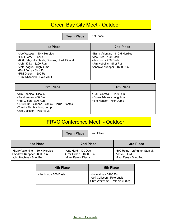## Green Bay City Meet - Outdoor

**Team Place** 1st Place

| <b>1st Place</b>                                                                                                                                                                                                                              | 2nd Place                                                                                                                                 |
|-----------------------------------------------------------------------------------------------------------------------------------------------------------------------------------------------------------------------------------------------|-------------------------------------------------------------------------------------------------------------------------------------------|
| >Joe Watzka - 110 H Hurdles<br>>Paul Ferry - Discus<br>>800 Relay - LaPlante, Staniak, Hurd, Piontek<br>>John Klika - 3200 Run<br>>Jeff Teague - High Jump<br>>Paul Ferry - Shot Put<br>>Phil Gilson - 1600 Run<br>>Tim Whitcomb - Pole Vault | >Barry Valentine - 110 H Hurdles<br>>Jas Hurd - 100 Dash<br>>Jas Hurd - 200 Dash<br>>Jim Hobbins - Shot Put<br>>Andrew Kuepper - 1600 Run |

| 3rd Place                                                                                                                                                                             | 4th Place                                                                       |
|---------------------------------------------------------------------------------------------------------------------------------------------------------------------------------------|---------------------------------------------------------------------------------|
| >Jim Hobbins - Discus<br>>Pat Greene - 400 Dash<br>>Phil Gilson - 800 Run<br>>1600 Run - Greene, Staniak, Harris, Piontek<br>>Tom LaPlante - Long Jump<br>>Jeff Callesen - Pole Vault | >Paul Gerczak - 3200 Run<br>>Bryan Adams - Long Jump<br>>Jim Hanson - High Jump |

# FRVC Conference Meet - Outdoor

Ē

|                                                                                          | <b>Team Place</b>                                                       | 2nd Place |                                                                            |
|------------------------------------------------------------------------------------------|-------------------------------------------------------------------------|-----------|----------------------------------------------------------------------------|
| 1st Place                                                                                | 2nd Place                                                               |           | 3rd Place                                                                  |
| >Barry Valentine - 110 H Hurdles<br>>Andrew Kuepper - 800 Run<br>>Jim Hobbins - Shot Put | >Jas Hurd - 100 Dash<br>>Phil Gilson - 1600 Run<br>>Paul Ferry - Discus |           | >800 Relay - LaPlante, Staniak,<br>Piontek, Hurd<br>>Paul Ferry - Shot Put |

| 4th Place            | <b>5th Place</b>                                                                          |
|----------------------|-------------------------------------------------------------------------------------------|
| >Jas Hurd - 200 Dash | >John Klika - 3200 Run<br>>Jeff Callesen - Pole Vault<br>>Tim Whitcomb - Pole Vault (tie) |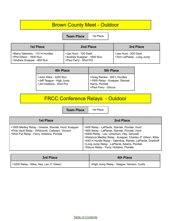## Brown County Meet - Outdoor

**Team Place** | 1st Place

| 1st Place                                                                                | 2nd Place                                                                    | 3rd Place                                         |
|------------------------------------------------------------------------------------------|------------------------------------------------------------------------------|---------------------------------------------------|
| >Barry Valentine - 110 H Hurdles<br>>Phil Gilson - 1600 Run<br>>Andrew Kuepper - 800 Run | >Jas Hurd - 100 Dash<br>>Andrew Kuepper - 1600 Run<br>>Paul Ferry - Shot Put | >Jas Hurd - 200 Dash<br>>Tom LaPlante - Long Jump |

| 4th Place                                                                     | <b>5th Place</b>                                                                                                        |
|-------------------------------------------------------------------------------|-------------------------------------------------------------------------------------------------------------------------|
| >John Klika - 3200 Run<br>>Jeff Teague - High Jump<br>>Jim Hobbins - Shot Put | >Greg Reinke - 300 L Hurdles<br>>1600 Relay - Kuepper, Staniak,<br><sup>I</sup> Harris, Piontek<br>>Paul Ferry - Discus |

# FRCC Conference Relays - Outdoor

**Team Place** 1st Pla

| 1st Place |  |
|-----------|--|
|-----------|--|

| <b>1st Place</b>                                                                                                                                    | 2nd Place                                                                                                                                                                                                                                                                                                                                                          |
|-----------------------------------------------------------------------------------------------------------------------------------------------------|--------------------------------------------------------------------------------------------------------------------------------------------------------------------------------------------------------------------------------------------------------------------------------------------------------------------------------------------------------------------|
| >1600 Medley Relay - Greene, Staniak, Hurd, Kuepper<br>>Pole Vault Relay - Whitcomb, Callesen, Vincent<br>>Shot Put Relay - Ferry, Hobbins, Piontek | >400 Relay - LaPlante, Staniak, Piontek, Hurd<br>>800 Relay - LaPlante, Staniak, Piontek, Hurd<br>>6400 Relay - Lax, Umentum, Hey, Gerczak<br>>Distance Medley Relay - Kuepper, Charles, P. Gilson, Klika<br>>440 H Hurdle Relay - Valentine, Reinke, LaPlante, Drankoff<br>>Long Jump Relay - LaPlante, Adams, Piontek<br>>Discus Relay - Ferry, Hobbins, Piontek |

| 3rd Place                                | <b>4th Place</b>                          |
|------------------------------------------|-------------------------------------------|
| S3200 Relay - Klika, Hey, Lax, P. Gilson | >High Jump Relay - Teague, Hanson, Curtis |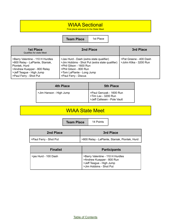## WIAA Sectional

First place advance to the State Meet

**Team Place** 1st Place

| <b>1st Place</b><br>Qualifies for state Meet                                                                                                                              | 2nd Place                                                                                                                                                                                             | 3rd Place                                        |
|---------------------------------------------------------------------------------------------------------------------------------------------------------------------------|-------------------------------------------------------------------------------------------------------------------------------------------------------------------------------------------------------|--------------------------------------------------|
| >Barry Valentine - 110 H Hurdles<br>>800 Relay - LaPlante, Staniak,<br>Piontek, Hurd<br>>Andrew Kuepper - 800 Relay<br>>Jeff Teague - High Jump<br>>Paul Ferry - Shot Put | >Jas Hurd - Dash (extra state qualifier)<br>>Jim Hobbins - Shot Put (extra state qualifier)<br>>Phil Gilson - 1600 Run<br>>Phil Gilson - 800 Run<br>>Tom LaPlante - Long Jump<br>>Paul Ferry - Discus | >Pat Greene - 400 Dash<br>>John Klika - 3200 Run |

| 4th Place               | <b>5th Place</b>                                                                 |
|-------------------------|----------------------------------------------------------------------------------|
| >Jim Hanson - High Jump | >Paul Gerczak - 1600 Run<br>  >Tim Lax - 3200 Run<br>>Jeff Callesen - Pole Vault |

## WIAA State Meet

**Team Place** 14 Points

| 2nd Place              | 3rd Place                                     |
|------------------------|-----------------------------------------------|
| >Paul Ferry - Shot Put | >800 Relay - LaPlante, Staniak, Piontek, Hurd |

| <b>Finalist</b>      | <b>Participants</b>                                                                                                  |
|----------------------|----------------------------------------------------------------------------------------------------------------------|
| >jas Hurd - 100 Dash | >Barry Valentine - 110 H Hurdles<br>>Andrew Kuepper - 800 Run<br>>Jeff Teague - High Jump<br>>Jim Hobbins - Shot Put |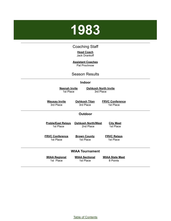# <span id="page-26-0"></span>**1983**

#### Coaching Staff

#### **Head Coach** Jack Drankoff

#### **Assistant Coaches** Pat Prochnow

#### Season Results

#### **Indoor**

**Neenah Invite** 1st Place

**Oshkosh North Invite** 3rd Place

**Wausau Invite** 3rd Place

**Oshkosh Titan** 3rd Place

**FRVC Conference** 1st Place

#### **Outdoor**

**Preble/East Relays Oshkosh North/West** 1st Place

2nd Place

**FRVC Conference** 1st Place

**Brown County** 1st Place

**FRVC Relays** 1st Place

**City Meet** 1st Place

#### **WIAA Tournament**

**WIAA Regional** 1st Place

**WIAA Sectional** 1st Place

**WIAA State Meet** 8 Points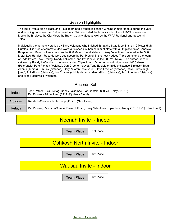#### Season Highlights

The 1983 Preble Men's Track and Field Team had a fantastic season winning 9 major meets during the year and finishing no worse than 3rd in the others. Wins included the Indoor and Outdoor FRVC Conference Meets, both relays, the City Meet, the Brown County Meet as well as the WIAA Regional and Sectional Titles.

Individually the hornets were led by Barry Valentine who finished 4th at the State Meet in the 110 Meter High Hurdles. His hurdle teammate, Joe Watzka finished just behind him at state with a 6th place finish. Andrew Kuepper and Dean Ohlhues both ran the 800 Meter Run at state and Barry Valentine competed in the 300 Meter Low Hurdles. Records were set indoors by Pat Piontek in the newly added Triple Jump and the team of Todd Peters, Rick Freitag, Randy LaCombe, and Pat Piontek in the 880 Yd. Relay. The outdoor record set was by Randy LaCombe in the newly added Triple Jump. Other top contributors were Jeff Callesen (Pole Vault), Pete Piontek (weights), Dan Greene (relays), Tony Edelblute (middle distance & relays), Bryan Adams (Jumps), Tim Lax (distance), Gary Killoran (pole vault), Dave Froelich (distance), Mike Curtis (high jump), Phil Gilson (distance), Jay Charles (middle distance),Greg Gilson (distance), Ted Umentum (distance) and Mike Roznowski (weights).

#### Records Set

| Indoor        | Todd Peters, Rick Freitag, Randy LaCombe, Pat Piontek - 880 Yd. Relay (1:37.5)<br>Pat Piontek - Triple Jump (39' 5 $\frac{1}{2}$ ") (New Event) |
|---------------|-------------------------------------------------------------------------------------------------------------------------------------------------|
| Outdoor       | Randy LaCombe - Triple Jump (41' 4") (New Event)                                                                                                |
| <b>Relays</b> | Pat Piontek, Randy LaCombe, Dave Hoffman, Barry Valentine - Triple Jump Relay (151' 11 1/2") (New Event)                                        |

#### Neenah Invite - Indoor

**Team Place** | 1st Place

#### Oshkosh North Invite - Indoor

**Team Place** | 3rd Place

#### Wausau Invite - Indoor

**Team Place** 3rd Place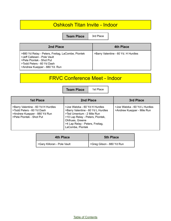#### Oshkosh Titan Invite - Indoor

**Team Place** 3rd Place

| 2nd Place                                                                                                                                                                  | 4th Place                           |
|----------------------------------------------------------------------------------------------------------------------------------------------------------------------------|-------------------------------------|
| >880 Yd Relay - Peters, Freitag, LaCombe, Piontek<br>>Jeff Callesen - Pole Vault<br>>Pete Piontek - Shot Put<br>>Todd Peters - 60 Yd Dash<br>>Andrew Kuepper - 880 Yd. Run | >Barry Valentine - 60 Yd. H Hurdles |

## FRVC Conference Meet - Indoor

**Team Place** | 1st Place

| 1st Place                                                                                                                   | 2nd Place                                                                                                                                                                                                      | 3rd Place                                                   |
|-----------------------------------------------------------------------------------------------------------------------------|----------------------------------------------------------------------------------------------------------------------------------------------------------------------------------------------------------------|-------------------------------------------------------------|
| >Barry Valentine - 60 Yd H Hurdles<br>>Todd Peters - 60 Yd Dash<br>>Andrew Kuepper - 880 Yd Run<br>>Pete Piontek - Shot Put | >Joe Watzka - 60 Yd H Hurdles<br>>Barry Valentine - 60 Yd L Hurdles<br>>Ted Umentum - 2 Mile Run<br>>10 Lap Relay - Peters, Piontek,<br>Ohlhues, Greene<br>>4 Lap Relay - Peters, Freitag,<br>LaCombe, Piontek | >Joe Watzka - 60 Yd L Hurdles<br>>Andrew Kuepper - Mile Run |

| <b>4th Place</b>            | <b>5th Place</b>          |
|-----------------------------|---------------------------|
| SGary Killoran - Pole Vault | SGreg Gilson - 880 Yd Run |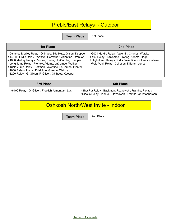# Preble/East Relays - Outdoor

**Team Place** | 1st Place

| 1st Place                                                                                                                                                                                                                                                                                                                                                                                                             | 2nd Place                                                                                                                                                                                                 |
|-----------------------------------------------------------------------------------------------------------------------------------------------------------------------------------------------------------------------------------------------------------------------------------------------------------------------------------------------------------------------------------------------------------------------|-----------------------------------------------------------------------------------------------------------------------------------------------------------------------------------------------------------|
| >Distance Medley Relay - Ohlhues, Edelblute, Gilson, Kuepper<br>>440 H Hurdle Relay - Watzka, Herrscher, Valentine, Drankoff<br>>1600 Medley Relay - Piontek, Freitag, LaCombe, Kuepper<br>>Long Jump Relay - Piontek, Adams, LaCombe, Walker<br>>Triple Jump Relay - Hoffman, Valentine, LaCombe, Piontek<br>>1600 Relay - Harris, Edelblute, Greene, Watzka<br>>3200 Relay - G. Gilson, P. Gilson, Ohlhues, Kuepper | >900 I Hurdle Relay - Valentin, Charles, Watzka<br>>400 Relay - LaCombe, Freitag, Adams, Hoge<br>>High Jump Relay - Curtis, Valentine, Ohlhues. Callesen<br>>Pole Vault Relay - Callesen, Killoran, Jentz |

| 3rd Place                                       | <b>5th Place</b>                                                                                                   |
|-------------------------------------------------|--------------------------------------------------------------------------------------------------------------------|
| >6400 Relay - G. Gilson, Froelich, Umentum, Lax | Shot Put Relay - Backman, Roznowski, Framke, Piontek<br>>Discus Relay - Piontek, Roznowski, Framke, Christopherson |

## Oshkosh North/West Invite - Indoor

**Team Place** 2nd Place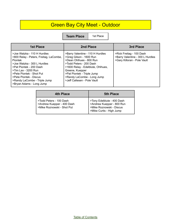# Green Bay City Meet - Outdoor

**Team Place** | 1st Place

| <b>1st Place</b>                                                                                                                                                                                                                                                                           | 2nd Place                                                                                                                                                                                                                                                            | 3rd Place                                                                                   |
|--------------------------------------------------------------------------------------------------------------------------------------------------------------------------------------------------------------------------------------------------------------------------------------------|----------------------------------------------------------------------------------------------------------------------------------------------------------------------------------------------------------------------------------------------------------------------|---------------------------------------------------------------------------------------------|
| >Joe Watzka - 110 H Hurdles<br>>800 Relay - Peters, Freitag, LaCombe,<br><b>Piontek</b><br>>Joe Watzka - 300 L Hurdles<br>>Pat Piontek - 200 Dash<br>>Tim Lax - 3200 Run<br>>Pete Piontek - Shot Put<br>>Pete Piontek - Discus<br>>Randy LaCombe - Triple Jump<br>>Bryan Adams - Long Jump | >Barry Valentine - 110 H Hurdles<br>>Greg Gilson - 1600 Run<br>>Dean Ohlhues - 800 Run<br>>Todd Peters - 200 Dash<br>>1600 Relay - Edelblute, Ohlhues,<br>Greene, Kuepper<br>>Pat Piontek - Triple Jump<br>>Randy LaCombe - Long Jump<br>>Jeff Callesen - Pole Vault | >Rick Freitag - 100 Dash<br>>Barry Valentine - 300 L Hurdles<br>>Gary Killoran - Pole Vault |

| <b>4th Place</b>           | <b>5th Place</b>                                        |
|----------------------------|---------------------------------------------------------|
| >Todd Peters - 100 Dash    | >Tony Edelblute - 400 Dash                              |
| >Andrew Kuepper - 400 Dash | >Andrew Kuepper - 800 Run<br>  >Mike Roznowski - Discus |
| >Mike Roznowski - Shot Put | >Mike Curtis - High Jump                                |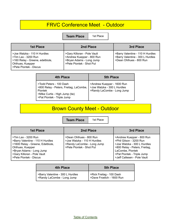#### FRVC Conference Meet - Outdoor

**Team Place** | 1st Place

| 1st Place                                                                                                                           | 2nd Place                                                                                                        | 3rd Place                                                                                       |
|-------------------------------------------------------------------------------------------------------------------------------------|------------------------------------------------------------------------------------------------------------------|-------------------------------------------------------------------------------------------------|
| >Joe Watzka - 110 H Hurdles<br>>Tim Lax - 3200 Run<br>>160 Relay - Greene, edelblute,<br>Ohlhues, Kuepper<br>>Pete Piontek - Discus | >Gary Killoran - Pole Vault<br>>Andrew Kuepper - 800 Run<br>>Bryan Adams - Long Jump<br>>Pete Piontek - Shot Put | >Barry Valentine - 110 H Hurdles<br>>Barry Valentine - 300 L Hurdles<br>>Dean Ohlhues - 800 Run |

| 4th Place                                                                                                                                    | <b>5th Place</b>                                                                          |
|----------------------------------------------------------------------------------------------------------------------------------------------|-------------------------------------------------------------------------------------------|
| >Todd Peters - 100 Dash<br>>800 Relay - Peters, Freitag, LaCombe,<br>Piontek<br>>Mike Curtis - High Jump (tie)<br>>Pat Piontek - Triple Jump | >Andrew Kuepper - 1600 Run<br>  >Joe Watzka - 300 L Hurdles<br>>Randy LaCombe - Long Jump |

# Brown County Meet - Outdoor

**Team Place** | 1st Place

| 1st Place                                                                                                                                                                                            | 2nd Place                                                                                                        | 3rd Place                                                                                                                                                                                             |
|------------------------------------------------------------------------------------------------------------------------------------------------------------------------------------------------------|------------------------------------------------------------------------------------------------------------------|-------------------------------------------------------------------------------------------------------------------------------------------------------------------------------------------------------|
| >Tim Lax - 3200 Run<br>>Barry Valentine - 110 H Hurdles<br>>1600 Relay - Greene, Edelblute,<br>Ohlhues, Kuepper<br>>Bryan Adams - Long Jump<br>>Gary Killoran - Pole Vault<br>>Pete Piontek - Discus | >Dean Ohlhues - 800 Run<br>>Joe Watzka - 110 H Hurdles<br>>Randy LaCombe - Long Jump<br>>Pete Piontek - Shot Put | >Andrew Kuepper - 800 Run<br>>Phil Gilson - 3200 Run<br>>Joe Watzka - 300 L Hurdles<br>>800 Relay - Peters, Freitag,<br>LaCombe, Piontek<br>>Pat Piontek - Triple Jump<br>>Jeff Callesen - Pole Vault |

| <b>4th Place</b>                                               | <b>5th Place</b>                                        |
|----------------------------------------------------------------|---------------------------------------------------------|
| >Barry Valentine - 300 L Hurdles<br>>Randy LaCombe - Long Jump | >Rick Freitag - 100 Dash<br>  >Dave Froelich - 1600 Run |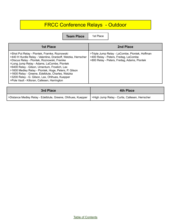# FRCC Conference Relays - Outdoor

**Team Place** | 1st Place

| <b>1st Place</b>                                                                                                                                                                                                                                                                                                                                                                                                                                                        | 2nd Place                                                                                                                               |
|-------------------------------------------------------------------------------------------------------------------------------------------------------------------------------------------------------------------------------------------------------------------------------------------------------------------------------------------------------------------------------------------------------------------------------------------------------------------------|-----------------------------------------------------------------------------------------------------------------------------------------|
| >Shot Put Relay - Piontek, Framke, Roznowski<br>>440 H Hurdle Relay - Valentine, Drankoff, Watzka, Herrscher<br>>Discus Relay - Piontek, Roznowski, Framke<br>>Long Jump Relay - Adams, LaCombe, Piontek<br>>6400 Relay - Gilson, Umentum, Froelich, Lax<br>>1600 Medley Relay - Piontek, Hoge, Peters, P. Gilson<br>>1600 Relay - Greene, Edelblute, Charles, Watzka<br>>3200 Relay - G. Gilson, Lax, Ohlhues, Kuepper<br>>Pole Vault - Killoran, Callesen, Harrington | >Triple Jump Relay - LaCombe, Piontek, Hoffman<br>>400 Relay - Peters, Freitag, LaCombe<br>>800 Relay - Peters, Freitag, Adams, Piontek |

| 3rd Place                                                    | 4th Place                                      |
|--------------------------------------------------------------|------------------------------------------------|
| >Distance Medley Relay - Edelblute, Greene, Ohlhues, Kuepper | >High Jump Relay - Curtis, Callesen, Herrscher |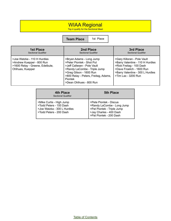#### WIAA Regional

Top 4 qualify for the Sectional Meet

**Team Place** | 1st Place

| <b>1st Place</b>                                                                                                | 2nd Place                                                                                                                                                                                                                     | 3rd Place                                                                                                                                                                           |
|-----------------------------------------------------------------------------------------------------------------|-------------------------------------------------------------------------------------------------------------------------------------------------------------------------------------------------------------------------------|-------------------------------------------------------------------------------------------------------------------------------------------------------------------------------------|
| <b>Sectional Qualifier</b>                                                                                      | <b>Sectional Qualifier</b>                                                                                                                                                                                                    | <b>Sectional Qualifier</b>                                                                                                                                                          |
| >Joe Watzke - 110 H Hurdles<br>>Andrew Kuepper - 800 Run<br>>1600 Relay - Greene, Edelbute,<br>Ohlhues, Kuepper | >Bryan Adams - Long Jump<br>>Peter Piontek - Shot Put<br>>Jeff Callesen - Pole Vault<br>>Randy LaCombe - Triple Jump<br>>Greg Gilson - 1600 Run<br>>800 Relay - Peters, Freitag, Adams,<br>Piontek<br>>Dean Ohlhues - 800 Run | >Gary Killoran - Pole Vault<br>>Barry Valentine - 110 H Hurdles<br>>Rick Freitag - 100 Dash<br>>Dave Froelich - 1600 Run<br>>Barry Valentine - 300 L Hurdles<br>>Tim Lax - 3200 Run |

| 4th Place<br><b>Sectional Qualifier</b>                                                                       | <b>5th Place</b>                                                                                                                         |
|---------------------------------------------------------------------------------------------------------------|------------------------------------------------------------------------------------------------------------------------------------------|
| >Mike Curtis - High Jump<br>>Todd Peters - 100 Dash<br>>Joe Watzka - 300 L Hurdles<br>>Todd Peters - 200 Dash | >Pete Piontek - Discua<br>>Randy LaCombe - Long Jump<br>>Pat Piontek - Triple Jump<br>>Jay Charles - 400 Dash<br>>Pat Piontek - 200 Dash |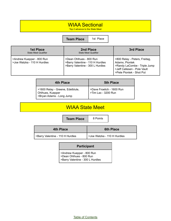#### WIAA Sectional

Top 2 advance to the State Meet

**Team Place** 1st Place

| 1st Place<br>State Meet Qualifier                        | 2nd Place<br><b>State Meet Qualifier</b>                                                        | 3rd Place                                                                                                                                  |
|----------------------------------------------------------|-------------------------------------------------------------------------------------------------|--------------------------------------------------------------------------------------------------------------------------------------------|
| >Andrew Kuepper - 800 Run<br>>Joe Watzka - 110 H Hurdles | >Dean Ohlhues - 800 Run<br>>Barry Valentine - 110 H Hurdles<br>>Barry Valentine - 300 L Hurdles | >800 Relay - Peters, Freitag,<br>Adamx, Piontek<br>>Randy LaCombe - Triple Jump<br>>Jeff Callesen - Pole Vault<br>>Pete Piontek - Shot Put |

| 4th Place                                                                        | <b>5th Place</b>                                 |
|----------------------------------------------------------------------------------|--------------------------------------------------|
| >1600 Relay - Greene, Edelblute,<br>Ohlhues, Kuepper<br>>Bryan Adams - Long Jump | >Dave Froelich - 1600 Run<br>>Tim Lax - 3200 Run |

#### WIAA State Meet

**Team Place** 8 Points

| <b>6th Place</b>            | 4th Place                        |
|-----------------------------|----------------------------------|
| >Joe Watzka - 110 H Hurdles | >Barry Valentine - 110 H Hurdles |
|                             |                                  |

#### **Participant**

>Andrew Kuepper - 800 Run

>Dean Ohlhues - 800 Run

>Barry Valentine - 300 L Hurdles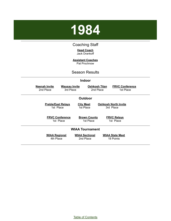

#### Coaching Staff

**Head Coach** Jack Drankoff

**Assistant Coaches** Pat Prochnow

#### Season Results

<span id="page-35-0"></span>

|                                        |                                     | <b>Indoor</b>                      |                                   |                                          |  |
|----------------------------------------|-------------------------------------|------------------------------------|-----------------------------------|------------------------------------------|--|
| <b>Neenah Invite</b><br>2nd Place      | <u>Wausau Invite</u><br>3rd Place   |                                    | <b>Oshkosh Titan</b><br>2nd Place | <b>FRVC Conference</b><br>1st Place      |  |
|                                        |                                     | <b>Outdoor</b>                     |                                   |                                          |  |
| <b>Preble/East Relays</b><br>1st Place |                                     | <b>City Meet</b><br>1st Place      |                                   | <b>Oshkosh North Invite</b><br>3rd Place |  |
|                                        | <b>FRVC Conference</b><br>1st Place |                                    | <b>Brown County</b><br>1st Place  | <b>FRVC Relays</b><br>1st Place          |  |
|                                        |                                     | <b>WIAA Tournament</b>             |                                   |                                          |  |
| <b>WIAA Regional</b><br>4th Place      |                                     | <b>WIAA Sectional</b><br>2nd Place |                                   | <b>WIAA State Meet</b><br>18 Points      |  |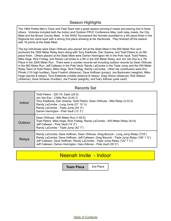#### Season Highlights

The 1984 Preble Men's Track and Field Team had a great season winning 6 meets and placing 2nd in three others. Victories included both the Indoor and Outdoor FRVC Conference titles, both relay meets, the City Meet and the Brown County Meet. In the WIAA Tournament the Hornets stumbled to a 4th place finish in the Regional but came back with a strong 2nd place showing at the Sectionals. They finished off the season with 18 points at the State Meet.

The top individuals were Dean Ohlhues who placed 3rd at the State Meet in the 800 Meter Run and anchored the 1600 Meter Relay team along with Tony Edelblute, Dan Greene, and Todd Peters to an 8th place finish. Others placers at the State Meet were Darren Harrington 4th in the Pole Vault, Todd Peters, Mike Hoge, Rick Freitag, and Randy LaCombe to a 5th in the 400 Meter Relay, and Jim Van Ess to a 7th Place in the 3200 Meter Run. There were a number records set including outdoor records by Dean Ohlhues in the 800 Meter Run, Jeff Callesen in the Pole Vault, Randy LaCombe in the Triple Jump and the 400 Meter Relay Team of Todd Peters, Mike Hoge, Rick Freitag, Randy LaCombe. Other top contributors were Eric Plinski (110 high hurdles), Dave Froelich (distance), Dave Hoffman (jumps), Joe Backmann (weights), Mike Hoge (sprints & relays), Tony Edelblute (middle distance & relays), Greg Gilson (distance), Rob Watson (distance), Dave Schauer (hurdles), Joe Franke (weights), and Gary Killoran (pole vault).

| Indoor        | Todd Peters - 220 Yd. Dash (24.0)<br>Jim Van Ess - 2 Mile Run (2:44.7)<br>Tony Edelblute, Dan Greene, Todd Peters, Dean Ohlhues - Mile Relay (3:33.2)<br>Randy LaCombe - Long Jump (21' 10 1/2)<br>Randy LaCombe - Triple Jump (44' 5")<br>Darren Harrington - Pole Vault (13' 3")                                                       |
|---------------|------------------------------------------------------------------------------------------------------------------------------------------------------------------------------------------------------------------------------------------------------------------------------------------------------------------------------------------|
| Outdoor       | Dean Ohlhues - 800 Meter Run (1:55.5)<br>Todd Peters, Mike Hoge, Rick Freitag, Randy LaCombe - 400 Meter Relay (43.8)<br>Jeff Callesen - Pole Vault (14' 2")<br>Randy LaCombe - Triple Jump (42' 7")                                                                                                                                     |
| <b>Relays</b> | Randy LaCombe, Dave Hoffman, Dean Ohlhues, Greg Borucki - Long Jump Relay (73'8")<br>Randy LaCombe, Dave Hoffman, Jeff Callesen, Greg Borucki - Triple Jump Relay (156' 1 3/4")<br>Jeff Callesen, Dave Hoffman, Randy LaCombe - Triple Jump Relay (122' 7 1/2")<br>Jeff Callesen, Darren Harrington, Gary Killoran - Pole Vault (39' 0") |

#### Records Set

#### Neenah Invite - Indoor

**Team Place** | 2nd Place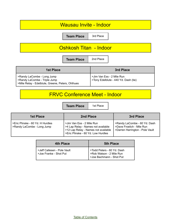# Wausau Invite - Indoor **Team Place** | 3rd Place Oshkosh Titan - Indoor **Team Place** | 2nd Place **1st Place 3rd Place** >Randy LaCombe - Long Jump >Randy LaCombe - Triple Jump >Mile Relay - Edelblute, Greene, Peters, Ohlhues >Jim Van Ess - 2 Mile Run >Tony Edelblute - 440 Yd. Dash (tie)

#### FRVC Conference Meet - Indoor

**Team Place** | 1st Place

| 1st Place                                                      | 2nd Place                                                                                                                                    | 3rd Place                                                                                    |
|----------------------------------------------------------------|----------------------------------------------------------------------------------------------------------------------------------------------|----------------------------------------------------------------------------------------------|
| >Eric Plinske - 60 Yd. H Hurdles<br>SRandy LaCombe - Long Jump | >Jim Van Ess - 2 Mile Run<br>>4 Lap Relay - Names not available<br>>12 Lap Relay - Names not available<br>>Eric Plinske - 60 Yd. Low Hurdles | >Randy LaCombe - 60 Yd. Dash<br>>Dave Froelich - Mile Run<br>>Darren Harrington - Pole Vault |

| 4th Place                                             | <b>5th Place</b>                                                                   |
|-------------------------------------------------------|------------------------------------------------------------------------------------|
| >Jeff Callesen - Pole Vault<br>>Joe Franke - Shot Put | >Todd Peters - 60 Yd. Dash<br>>Rob Watson - 2 Mile Run<br>>Joe Bachmann - Shot Put |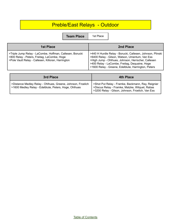# Preble/East Relays - Outdoor

**Team Place** | 1st

| 1st Place                                                                                                                                                     | 2nd Place                                                                                                                                                                                                                                                                 |
|---------------------------------------------------------------------------------------------------------------------------------------------------------------|---------------------------------------------------------------------------------------------------------------------------------------------------------------------------------------------------------------------------------------------------------------------------|
| >Triple Jump Relay - LaCombe, Hoffman, Callesen, Borucki<br>>800 Relay - Peters, Freitag, LaCombe, Hoge<br>>Pole Vault Relay - Callesen, Killoran, Harrington | >440 H Hurdle Relay - Borucki, Callesen, Johnson, Plinski<br>>6400 Relay - Gilson, Watson, Umentum, Van Ess<br>>High Jump - Ohlhues, Johnson, Herrscher, Callesen<br>>400 Relay - LaCombe, Freitag, Dequaine, Hoge<br>>1600 Relay - Greene, Edelblute, Harrington, Peters |

| 3rd Place                                                                                                            | 4th Place                                                                                                                                               |
|----------------------------------------------------------------------------------------------------------------------|---------------------------------------------------------------------------------------------------------------------------------------------------------|
| >Distance Medley Relay - Ohlhues, Greene, Johnson, Froelich<br>>1600 Medley Relay - Edelblute, Peters, Hoge, Ohlhues | >Shot Put Relay - Framke, Backmann, Ray, Reignier<br>>Discus Relay - Framke, Matzke, Wilquet, Rabas<br>>3200 Relay - Gilson, Johnson, Froelich, Van Ess |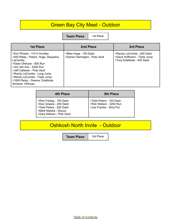## Green Bay City Meet - Outdoor

**Team Place** | 1st Place

| <b>1st Place</b>                                                                                                                                                                                                                                                                            | 2nd Place                                                | 3rd Place                                                                               |
|---------------------------------------------------------------------------------------------------------------------------------------------------------------------------------------------------------------------------------------------------------------------------------------------|----------------------------------------------------------|-----------------------------------------------------------------------------------------|
| >Eric Plinske - 110 H Hurdles<br>>400 Relay - Peters, Hoge, Dequaine,<br>LaCombe<br>>Dean Ohlhues - 800 Run<br>>Jim Van Ess - 3200 Run<br>>Jeff Callesen - Pole Vault<br>>Randy LaCombe - Long Jump<br>>Randy LaCombe - Triple Jump<br>>1600 Relay - Greene, Edelblute,<br>Schauer, Ohlhues | >Mike Hoge - 100 Dash<br>>Darren Harrington - Pole Vault | >Randy LaCombe - 200 Dash<br>>Dave Hoffmann - Triple Jump<br>>Tony Edelblute - 400 Dash |

| 4th Place                                                                                                                             | <b>5th Place</b>                                                            |
|---------------------------------------------------------------------------------------------------------------------------------------|-----------------------------------------------------------------------------|
| >Rick Freitag - 100 Dash<br>>Dan Greene - 400 Dash<br>>Todd Peters - 200 Dash<br>>Mark Matzke - Discus<br>>Gary Killoran - Pole Vault | >Todd Peters - 100 Dash<br>>Rob Watson - 3200 Run<br>>Joe Framke - Shot Put |

# Oshkosh North Invite - Outdoor

**Team Place** | 3rd Place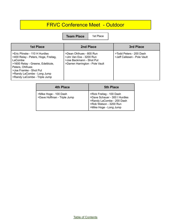## FRVC Conference Meet - Outdoor

**Team Place** | 1st Place

| <b>1st Place</b>                                                                                                                                                                                                               | 2nd Place                                                                                                         | 3rd Place                                              |
|--------------------------------------------------------------------------------------------------------------------------------------------------------------------------------------------------------------------------------|-------------------------------------------------------------------------------------------------------------------|--------------------------------------------------------|
| >Eric Plinske - 110 H Hurdles<br>>400 Relay - Peters, Hoge, Freitag,<br>LaCombe<br>>1600 Relay - Greene, Edelblute,<br>Peters, Ohlhues<br>>Joe Framke - Shot Put<br>>Randy LaCombe - Long Jump<br>>Randy LaCombe - Triple Jump | >Dean Ohlhues - 800 Run<br>>Jim Van Ess - 3200 Run<br>>Joe Backmann - Shot Put<br>>Darren Harrington - Pole Vault | >Todd Peters - 200 Dash<br>>Jeff Callesen - Pole Vault |

| 4th Place                                            | <b>5th Place</b>                                                                                                                           |
|------------------------------------------------------|--------------------------------------------------------------------------------------------------------------------------------------------|
| >Mike Hoge - 100 Dash<br>>Dave Hoffman - Triple Jump | >Rick Freitag - 100 Dash<br>>Dave Schauer - 300 I Hurdles<br>>Randy LaCombe - 200 Dash<br>>Rob Watson - 3200 Run<br>>Mike Hoge - Long Jump |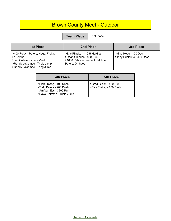# Brown County Meet - Outdoor

**Team Place** | 1st Place

| <b>1st Place</b>                                                                                                                            | 2nd Place                                                                                                       | 3rd Place                                           |
|---------------------------------------------------------------------------------------------------------------------------------------------|-----------------------------------------------------------------------------------------------------------------|-----------------------------------------------------|
| >400 Relay - Peters, Hoge, Freitag,<br>LaCombe<br>>Jeff Callesen - Pole Vault<br>>Randy LaCombe - Triple Jump<br>>Randy LaCombe - Long Jump | >Eric Plinske - 110 H Hurdles<br>>Dean Ohlhues - 800 Run<br>>1600 Relay - Greene, Edelblute,<br>Peters, Ohlhues | >Mike Hoge - 100 Dash<br>>Tony Edelblute - 400 Dash |

| <b>4th Place</b>                                                                                              | <b>5th Place</b>                                     |
|---------------------------------------------------------------------------------------------------------------|------------------------------------------------------|
| >Rick Freitag - 100 Dash<br>>Todd Peters - 200 Dash<br>>Jim Van Ess - 3200 Run<br>>Dave Hoffman - Triple Jump | SGreg Gilson - 800 Run<br>  >Rick Freitag - 200 Dash |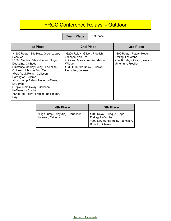# FRCC Conference Relays - Outdoor

**Team Place** | 1st Place

| <b>1st Place</b>                                                                                                                                                                                                                                                                                                                                                                             | 2nd Place                                                                                                                                                 | 3rd Place                                                                                            |
|----------------------------------------------------------------------------------------------------------------------------------------------------------------------------------------------------------------------------------------------------------------------------------------------------------------------------------------------------------------------------------------------|-----------------------------------------------------------------------------------------------------------------------------------------------------------|------------------------------------------------------------------------------------------------------|
| >1600 Relay - Edelblute, Greene, Lax,<br>Schauer<br>>1600 Medley Relay - Peters, Hoge,<br>Dequaine, Ohlhues<br>>Distance Medley Relay - Edelblute,<br>Ohlhues, Johnson, Van Ess<br>>Pole Vault Relay - Callesen,<br>Harrington, Killoran<br>>Long Jump Relay - Hoge, Hoffman,<br>LaCombe<br>>Triple Jump Relay - Callesen,<br>Hoffman, LaCombe<br>>Shot Put Relay - Framke, Backmann,<br>Ray | >3200 Relay - Gilson, Froelich,<br>Johnson, Van Ess<br>>Discus Relay - Framke, Matzke,<br>Wilguet<br>>330 H Hurdle Relay - Plinske,<br>Herrscher, Johnson | >800 Relay - Peters, Hoge,<br>Freitag, LaCombe<br>>6400 Relay - Gilson, Watson,<br>Umentum, Froelich |

| <b>4th Place</b>                                         | <b>5th Place</b>                                                                                        |
|----------------------------------------------------------|---------------------------------------------------------------------------------------------------------|
| >High Jump Relay (tie) - Herrscher,<br>Johnson, Calleson | >400 Relay - Frisque, Hoge,<br>Freitag, LaCombe<br>>900 Low Hurdle Relay - Johnson,<br>Borucki, Schauer |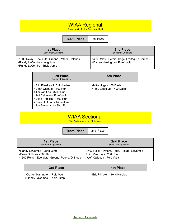## WIAA Regional

Top 4 qualify for the Sectional Meet

**Team Place** | 4th Place

| <b>1st Place</b>                                                                                               | 2nd Place                                                                      |
|----------------------------------------------------------------------------------------------------------------|--------------------------------------------------------------------------------|
| <b>Sectional Qualifiers</b>                                                                                    | <b>Sectional Qualifiers</b>                                                    |
| >1600 Relay - Edelblute, Greene, Peters, Ohlhues<br>>Randy LaCombe - Long Jump<br>>Randy LaCombe - Triple Jump | >400 Relay - Peters, Hoge, Freitag, LaCombe<br>>Darren Harrington - Pole Vault |

| 3rd Place<br><b>Sectional Qualifiers</b>                                                                                                                                                                   | <b>5th Place</b>                                    |
|------------------------------------------------------------------------------------------------------------------------------------------------------------------------------------------------------------|-----------------------------------------------------|
| >Eric Plinske - 110 H Hurdles<br>>Dean Ohlhues - 800 Run<br>>Jim Van Ess - 3200 Run<br>>Jeff Callesen - Pole Vault<br>>Dave Froelich - 1600 Run<br>>Dave Hoffman - Triple Jump<br>>Joe Backmann - Shot Put | >Mike Hoge - 100 Dash<br>>Tony Edelblute - 400 Dash |

| <b>WIAA Sectional</b>           |  |
|---------------------------------|--|
| Top 2 advance to the State Meet |  |
|                                 |  |

**Team Place** | 2nd Place **1st Place** State Meet Qualifiers **2nd Place** State Meet Qualifiers >Randy LaCombe - Long Jump >Dean Ohlhues - 800 Run >1600 Relay - Edelblute, Greene, Peters, Ohlhues >400 Relay - Peters, Hoge, Freitag, LaCombe >Jim Van Ess - 3200 Run >Jeff Callesen - Pole Vault

| 3rd Place                                                       | 4th Place                     |
|-----------------------------------------------------------------|-------------------------------|
| >Darren Harrington - Pole Vault<br>>Randy LaCombe - Triple Jump | >Eric Plinske - 110 H Hurdles |